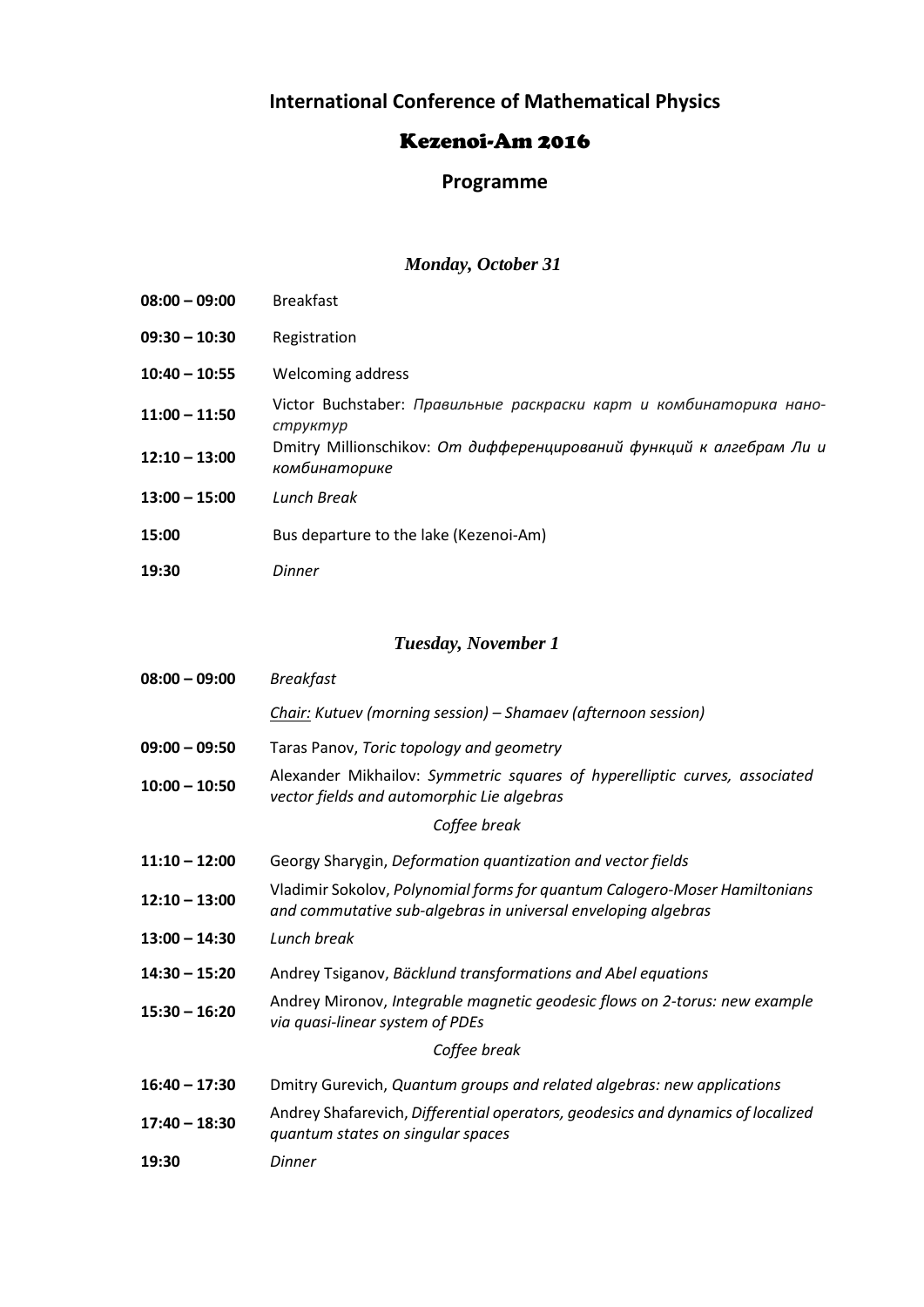# **International Conference of Mathematical Physics**

### Kezenoi-Am 2016

## **Programme**

### *Monday, October 31*

| $08:00 - 09:00$                    | <b>Breakfast</b>                                                                                                                                      |
|------------------------------------|-------------------------------------------------------------------------------------------------------------------------------------------------------|
| $09:30 - 10:30$                    | Registration                                                                                                                                          |
| $10:40 - 10:55$                    | Welcoming address                                                                                                                                     |
| $11:00 - 11:50$<br>$12:10 - 13:00$ | Victor Buchstaber: Правильные раскраски карт и комбинаторика нано-<br>структур<br>Dmitry Millionschikov: От дифференцирований функций к алгебрам Ли и |
| $13:00 - 15:00$                    | комбинаторике<br>Lunch Break                                                                                                                          |
| 15:00                              | Bus departure to the lake (Kezenoi-Am)                                                                                                                |
| 19:30                              | Dinner                                                                                                                                                |

## *Tuesday, November 1*

| $08:00 - 09:00$ | <b>Breakfast</b>                                                                                                                            |  |
|-----------------|---------------------------------------------------------------------------------------------------------------------------------------------|--|
|                 | Chair: Kutuev (morning session) – Shamaev (afternoon session)                                                                               |  |
| $09:00 - 09:50$ | Taras Panov, Toric topology and geometry                                                                                                    |  |
| $10:00 - 10:50$ | Alexander Mikhailov: Symmetric squares of hyperelliptic curves, associated<br>vector fields and automorphic Lie algebras                    |  |
| Coffee break    |                                                                                                                                             |  |
| $11:10 - 12:00$ | Georgy Sharygin, Deformation quantization and vector fields                                                                                 |  |
| $12:10 - 13:00$ | Vladimir Sokolov, Polynomial forms for quantum Calogero-Moser Hamiltonians<br>and commutative sub-algebras in universal enveloping algebras |  |
| $13:00 - 14:30$ | Lunch break                                                                                                                                 |  |
| $14:30 - 15:20$ | Andrey Tsiganov, Bäcklund transformations and Abel equations                                                                                |  |
| $15:30 - 16:20$ | Andrey Mironov, Integrable magnetic geodesic flows on 2-torus: new example<br>via quasi-linear system of PDEs                               |  |
| Coffee break    |                                                                                                                                             |  |
| $16:40 - 17:30$ | Dmitry Gurevich, Quantum groups and related algebras: new applications                                                                      |  |
| $17:40 - 18:30$ | Andrey Shafarevich, Differential operators, geodesics and dynamics of localized<br>quantum states on singular spaces                        |  |
| 19:30           | Dinner                                                                                                                                      |  |